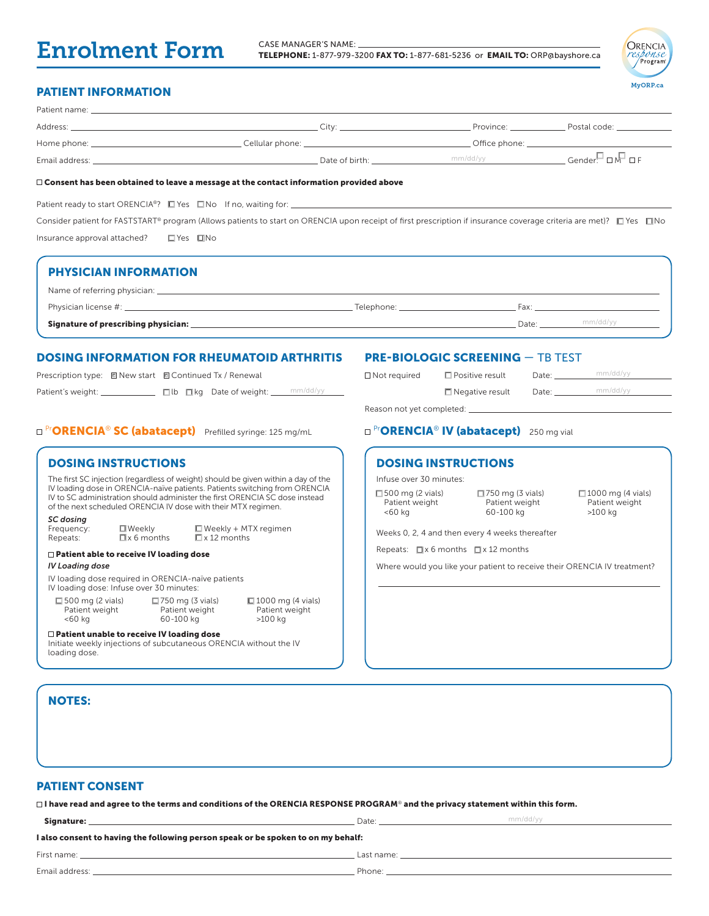# Enrolment Form

CASE MANAGER'S NAME: TELEPHONE: 1-877-979-3200 FAX TO: 1-877-681-5236 or EMAIL TO: ORP@bayshore.ca



# PATIENT INFORMATION

| Patient name:  |                    |                |                 |                                           |
|----------------|--------------------|----------------|-----------------|-------------------------------------------|
| Address:       |                    | ∴itv:          | Province:       | Postal code: <u>compare and container</u> |
| Home phone: _  | Cellular phone: __ |                | Office phone: _ |                                           |
| Email address: |                    | Date of birth: | mm/dd/yy        | $Gender[ \Box \sqrt{=} \Box F]$           |

#### $\Box$  Consent has been obtained to leave a message at the contact information provided above

Patient ready to start ORENCIA®?  $\Box$  Yes  $\Box$  No If no, waiting for:  $\Box$ 

Consider patient for FASTSTART® program (Allows patients to start on ORENCIA upon receipt of first prescription if insurance coverage criteria are met)?  $\Box$  Yes  $\Box$  No Insurance approval attached? Yes No

| <b>PHYSICIAN INFORMATION</b>        |                                       |                   |
|-------------------------------------|---------------------------------------|-------------------|
|                                     |                                       |                   |
|                                     | _ Telephone: ________________________ |                   |
| Signature of prescribing physician: |                                       | mm/dd/yy<br>Date: |

## DOSING INFORMATION FOR RHEUMATOID ARTHRITIS

| Prescription type: 回 New start 回 Continued Tx / Renewal |  |                                     |          |
|---------------------------------------------------------|--|-------------------------------------|----------|
| Patient's weight:                                       |  | $\Box$ lb $\Box$ kg Date of weight: | mm/dd/yy |

#### PRE-BIOLOGIC SCREENING — TB TEST

|          | $\Box$ Not required       | $\Box$ Positive result | Date: | mm/dd/vv |
|----------|---------------------------|------------------------|-------|----------|
| mm/dd/vv |                           | $\Box$ Negative result | Date: | mm/dd/yy |
|          | Reason not vet completed: |                        |       |          |

## □ <sup>Pr</sup>ORENCIA® SC (abatacept) Prefilled syringe: 125 mg/mL DP<sup>r</sup>ORENCIA® IV (abatacept) 250 mg vial

|                                                                          | <b>DOSING INSTRUCTIONS</b>                                                                     |                                                   |                                                                                                                                                                                                                                                |  |
|--------------------------------------------------------------------------|------------------------------------------------------------------------------------------------|---------------------------------------------------|------------------------------------------------------------------------------------------------------------------------------------------------------------------------------------------------------------------------------------------------|--|
|                                                                          | of the next scheduled ORENCIA IV dose with their MTX regimen.                                  |                                                   | The first SC injection (regardless of weight) should be given within a day of the<br>IV loading dose in ORENCIA-naïve patients. Patients switching from ORENCIA<br>IV to SC administration should administer the first ORENCIA SC dose instead |  |
| SC dosing<br>Frequency:<br>Repeats:                                      | $\square$ Weekly<br>$\Box$ x 6 months                                                          | $\Box$ Weekly + MTX regimen<br>$\Box$ x 12 months |                                                                                                                                                                                                                                                |  |
| $\Box$ Patient able to receive IV loading dose<br><b>IV Loading dose</b> |                                                                                                |                                                   |                                                                                                                                                                                                                                                |  |
|                                                                          | IV loading dose required in ORENCIA-naïve patients<br>IV loading dose: Infuse over 30 minutes: |                                                   |                                                                                                                                                                                                                                                |  |
| $\Box$ 500 mg (2 vials)<br>Patient weight<br>$<$ 60 $kg$                 | 60-100 kg                                                                                      | $\Box$ 750 mg (3 vials)<br>Patient weight         | $\Box$ 1000 mg (4 vials)<br>Patient weight<br>$>100$ kg                                                                                                                                                                                        |  |

Initiate weekly injections of subcutaneous ORENCIA without the IV

# Reason not yet completed:

## DOSING INSTRUCTIONS

Infuse over 30 minutes:

 $\Box$  500 mg (2 vials) Patient weight <60 kg

 $\Box$  750 mg (3 vials) Patient weight 60-100 kg

□ 1000 mg (4 vials) Patient weight >100 kg

Weeks 0, 2, 4 and then every 4 weeks thereafter

Repeats:  $\Box x$  6 months  $\Box x$  12 months

Where would you like your patient to receive their ORENCIA IV treatment?

NOTES:

loading dose.

# PATIENT CONSENT

 $\Box$  I have read and agree to the terms and conditions of the ORENCIA RESPONSE PROGRAM® and the privacy statement within this form.

| Signature: |                                                                                   | Date: |
|------------|-----------------------------------------------------------------------------------|-------|
|            | I also consent to having the following person speak or be spoken to on my behalf: |       |

First name: Last name:

Patient unable to receive IV loading dose

mm/dd/yy